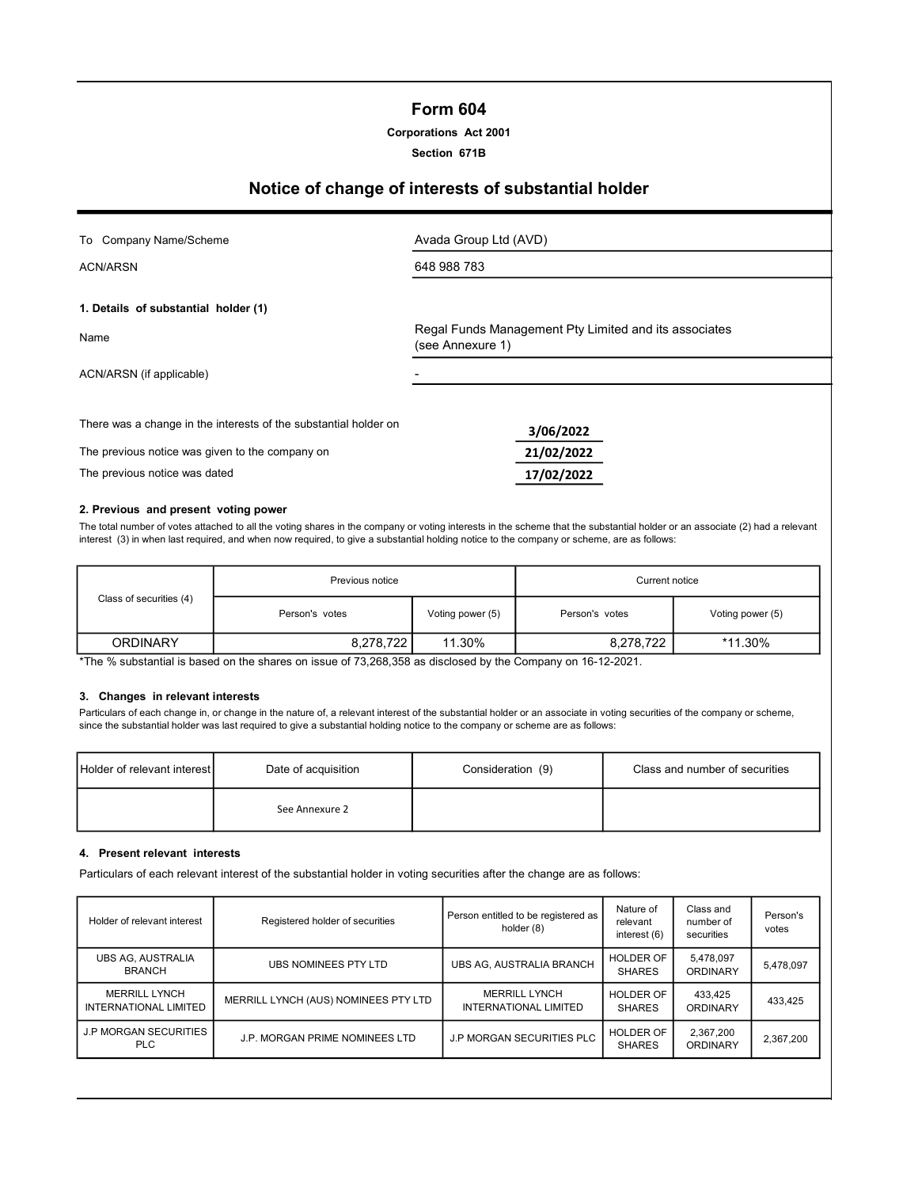## Form 604

Corporations Act 2001

Section 671B

# Notice of change of interests of substantial holder

|  |  | To Company Name/Scheme |
|--|--|------------------------|
|--|--|------------------------|

ACN/ARSN

Avada Group Ltd (AVD) 648 988 783

1. Details of substantial holder (1)

Name ACN/ARSN (if applicable) Regal Funds Management Pty Limited and its associates (see Annexure 1)

3/06/2022

There was a change in the interests of the substantial holder on

The previous notice was given to the company on **21/02/2022** 

The previous notice was dated 17/02/2022

#### 2. Previous and present voting power

The total number of votes attached to all the voting shares in the company or voting interests in the scheme that the substantial holder or an associate (2) had a relevant interest (3) in when last required, and when now required, to give a substantial holding notice to the company or scheme, are as follows:

|                         | Previous notice |                  | Current notice |                  |
|-------------------------|-----------------|------------------|----------------|------------------|
| Class of securities (4) | Person's votes  | Voting power (5) | Person's votes | Voting power (5) |
| <b>ORDINARY</b>         | 8,278,722       | 11.30%           | 8,278,722      | *11.30%          |

\*The % substantial is based on the shares on issue of 73,268,358 as disclosed by the Company on 16-12-2021.

#### 3. Changes in relevant interests

Particulars of each change in, or change in the nature of, a relevant interest of the substantial holder or an associate in voting securities of the company or scheme, since the substantial holder was last required to give a substantial holding notice to the company or scheme are as follows:

| Holder of relevant interest | Date of acquisition | Consideration (9) | Class and number of securities |
|-----------------------------|---------------------|-------------------|--------------------------------|
|                             | See Annexure 2      |                   |                                |

#### 4. Present relevant interests

Particulars of each relevant interest of the substantial holder in voting securities after the change are as follows:

| Holder of relevant interest                   | Registered holder of securities      | Person entitled to be registered as<br>holder (8) | Nature of<br>relevant<br>interest $(6)$ | Class and<br>number of<br>securities | Person's<br>votes |
|-----------------------------------------------|--------------------------------------|---------------------------------------------------|-----------------------------------------|--------------------------------------|-------------------|
| <b>UBS AG. AUSTRALIA</b><br><b>BRANCH</b>     | <b>UBS NOMINEES PTY LTD</b>          | UBS AG, AUSTRALIA BRANCH                          | <b>HOLDER OF</b><br><b>SHARES</b>       | 5,478,097<br><b>ORDINARY</b>         | 5,478,097         |
| <b>MERRILL LYNCH</b><br>INTERNATIONAL LIMITED | MERRILL LYNCH (AUS) NOMINEES PTY LTD | <b>MERRILL LYNCH</b><br>INTERNATIONAL LIMITED     | HOLDER OF<br><b>SHARES</b>              | 433,425<br><b>ORDINARY</b>           | 433.425           |
| <b>J.P MORGAN SECURITIES</b><br>PLC.          | J.P. MORGAN PRIME NOMINEES LTD       | <b>J.P MORGAN SECURITIES PLC</b>                  | <b>HOLDER OF</b><br><b>SHARES</b>       | 2,367,200<br>ORDINARY                | 2,367,200         |